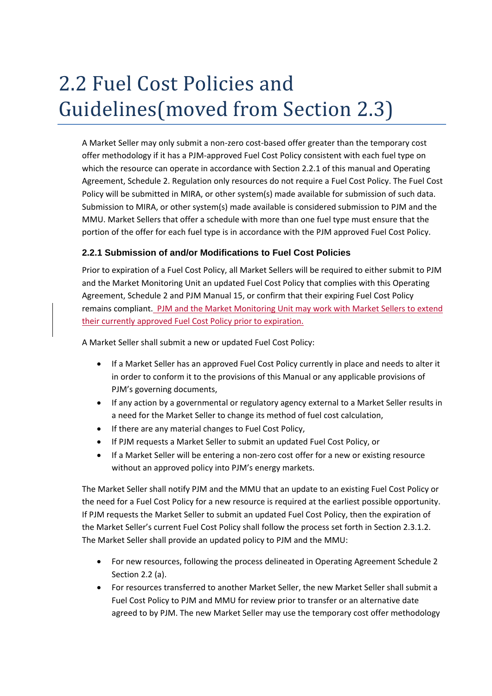# 2.2 Fuel Cost Policies and Guidelines(moved from Section 2.3)

A Market Seller may only submit a non-zero cost-based offer greater than the temporary cost offer methodology if it has a PJM-approved Fuel Cost Policy consistent with each fuel type on which the resource can operate in accordance with Section 2.2.1 of this manual and Operating Agreement, Schedule 2. Regulation only resources do not require a Fuel Cost Policy. The Fuel Cost Policy will be submitted in MIRA, or other system(s) made available for submission of such data. Submission to MIRA, or other system(s) made available is considered submission to PJM and the MMU. Market Sellers that offer a schedule with more than one fuel type must ensure that the portion of the offer for each fuel type is in accordance with the PJM approved Fuel Cost Policy.

### **2.2.1 Submission of and/or Modifications to Fuel Cost Policies**

Prior to expiration of a Fuel Cost Policy, all Market Sellers will be required to either submit to PJM and the Market Monitoring Unit an updated Fuel Cost Policy that complies with this Operating Agreement, Schedule 2 and PJM Manual 15, or confirm that their expiring Fuel Cost Policy remains compliant. PJM and the Market Monitoring Unit may work with Market Sellers to extend their currently approved Fuel Cost Policy prior to expiration.

A Market Seller shall submit a new or updated Fuel Cost Policy:

- If a Market Seller has an approved Fuel Cost Policy currently in place and needs to alter it in order to conform it to the provisions of this Manual or any applicable provisions of PJM's governing documents,
- If any action by a governmental or regulatory agency external to a Market Seller results in a need for the Market Seller to change its method of fuel cost calculation,
- If there are any material changes to Fuel Cost Policy,
- If PJM requests a Market Seller to submit an updated Fuel Cost Policy, or
- If a Market Seller will be entering a non-zero cost offer for a new or existing resource without an approved policy into PJM's energy markets.

The Market Seller shall notify PJM and the MMU that an update to an existing Fuel Cost Policy or the need for a Fuel Cost Policy for a new resource is required at the earliest possible opportunity. If PJM requests the Market Seller to submit an updated Fuel Cost Policy, then the expiration of the Market Seller's current Fuel Cost Policy shall follow the process set forth in Section 2.3.1.2. The Market Seller shall provide an updated policy to PJM and the MMU:

- For new resources, following the process delineated in Operating Agreement Schedule 2 Section 2.2 (a).
- For resources transferred to another Market Seller, the new Market Seller shall submit a Fuel Cost Policy to PJM and MMU for review prior to transfer or an alternative date agreed to by PJM. The new Market Seller may use the temporary cost offer methodology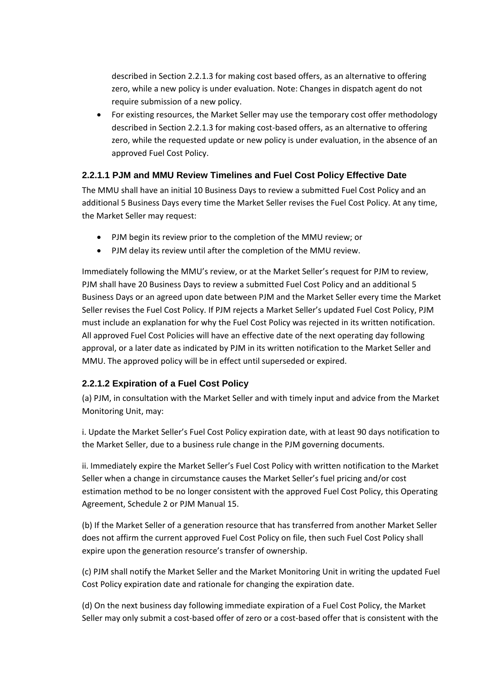described in Section 2.2.1.3 for making cost based offers, as an alternative to offering zero, while a new policy is under evaluation. Note: Changes in dispatch agent do not require submission of a new policy.

 For existing resources, the Market Seller may use the temporary cost offer methodology described in Section 2.2.1.3 for making cost-based offers, as an alternative to offering zero, while the requested update or new policy is under evaluation, in the absence of an approved Fuel Cost Policy.

## **2.2.1.1 PJM and MMU Review Timelines and Fuel Cost Policy Effective Date**

The MMU shall have an initial 10 Business Days to review a submitted Fuel Cost Policy and an additional 5 Business Days every time the Market Seller revises the Fuel Cost Policy. At any time, the Market Seller may request:

- PJM begin its review prior to the completion of the MMU review; or
- PJM delay its review until after the completion of the MMU review.

Immediately following the MMU's review, or at the Market Seller's request for PJM to review, PJM shall have 20 Business Days to review a submitted Fuel Cost Policy and an additional 5 Business Days or an agreed upon date between PJM and the Market Seller every time the Market Seller revises the Fuel Cost Policy. If PJM rejects a Market Seller's updated Fuel Cost Policy, PJM must include an explanation for why the Fuel Cost Policy was rejected in its written notification. All approved Fuel Cost Policies will have an effective date of the next operating day following approval, or a later date as indicated by PJM in its written notification to the Market Seller and MMU. The approved policy will be in effect until superseded or expired.

## **2.2.1.2 Expiration of a Fuel Cost Policy**

(a) PJM, in consultation with the Market Seller and with timely input and advice from the Market Monitoring Unit, may:

i. Update the Market Seller's Fuel Cost Policy expiration date, with at least 90 days notification to the Market Seller, due to a business rule change in the PJM governing documents.

ii. Immediately expire the Market Seller's Fuel Cost Policy with written notification to the Market Seller when a change in circumstance causes the Market Seller's fuel pricing and/or cost estimation method to be no longer consistent with the approved Fuel Cost Policy, this Operating Agreement, Schedule 2 or PJM Manual 15.

(b) If the Market Seller of a generation resource that has transferred from another Market Seller does not affirm the current approved Fuel Cost Policy on file, then such Fuel Cost Policy shall expire upon the generation resource's transfer of ownership.

(c) PJM shall notify the Market Seller and the Market Monitoring Unit in writing the updated Fuel Cost Policy expiration date and rationale for changing the expiration date.

(d) On the next business day following immediate expiration of a Fuel Cost Policy, the Market Seller may only submit a cost-based offer of zero or a cost-based offer that is consistent with the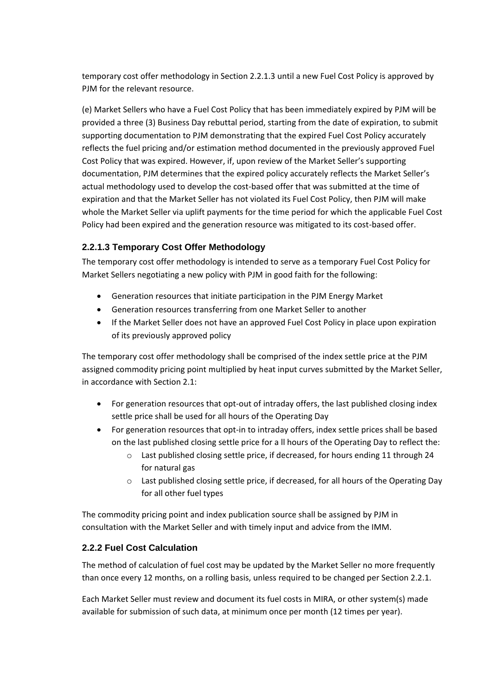temporary cost offer methodology in Section 2.2.1.3 until a new Fuel Cost Policy is approved by PJM for the relevant resource.

(e) Market Sellers who have a Fuel Cost Policy that has been immediately expired by PJM will be provided a three (3) Business Day rebuttal period, starting from the date of expiration, to submit supporting documentation to PJM demonstrating that the expired Fuel Cost Policy accurately reflects the fuel pricing and/or estimation method documented in the previously approved Fuel Cost Policy that was expired. However, if, upon review of the Market Seller's supporting documentation, PJM determines that the expired policy accurately reflects the Market Seller's actual methodology used to develop the cost-based offer that was submitted at the time of expiration and that the Market Seller has not violated its Fuel Cost Policy, then PJM will make whole the Market Seller via uplift payments for the time period for which the applicable Fuel Cost Policy had been expired and the generation resource was mitigated to its cost-based offer.

## **2.2.1.3 Temporary Cost Offer Methodology**

The temporary cost offer methodology is intended to serve as a temporary Fuel Cost Policy for Market Sellers negotiating a new policy with PJM in good faith for the following:

- Generation resources that initiate participation in the PJM Energy Market
- Generation resources transferring from one Market Seller to another
- If the Market Seller does not have an approved Fuel Cost Policy in place upon expiration of its previously approved policy

The temporary cost offer methodology shall be comprised of the index settle price at the PJM assigned commodity pricing point multiplied by heat input curves submitted by the Market Seller, in accordance with Section 2.1:

- For generation resources that opt-out of intraday offers, the last published closing index settle price shall be used for all hours of the Operating Day
- For generation resources that opt-in to intraday offers, index settle prices shall be based on the last published closing settle price for a ll hours of the Operating Day to reflect the:
	- o Last published closing settle price, if decreased, for hours ending 11 through 24 for natural gas
	- o Last published closing settle price, if decreased, for all hours of the Operating Day for all other fuel types

The commodity pricing point and index publication source shall be assigned by PJM in consultation with the Market Seller and with timely input and advice from the IMM.

## **2.2.2 Fuel Cost Calculation**

The method of calculation of fuel cost may be updated by the Market Seller no more frequently than once every 12 months, on a rolling basis, unless required to be changed per Section 2.2.1.

Each Market Seller must review and document its fuel costs in MIRA, or other system(s) made available for submission of such data, at minimum once per month (12 times per year).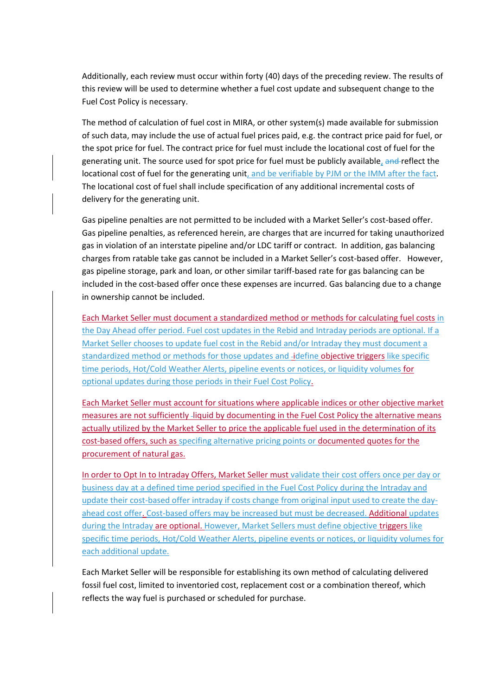Additionally, each review must occur within forty (40) days of the preceding review. The results of this review will be used to determine whether a fuel cost update and subsequent change to the Fuel Cost Policy is necessary.

The method of calculation of fuel cost in MIRA, or other system(s) made available for submission of such data, may include the use of actual fuel prices paid, e.g. the contract price paid for fuel, or the spot price for fuel. The contract price for fuel must include the locational cost of fuel for the generating unit. The source used for spot price for fuel must be publicly available, and reflect the locational cost of fuel for the generating unit, and be verifiable by PJM or the IMM after the fact. The locational cost of fuel shall include specification of any additional incremental costs of delivery for the generating unit.

Gas pipeline penalties are not permitted to be included with a Market Seller's cost-based offer. Gas pipeline penalties, as referenced herein, are charges that are incurred for taking unauthorized gas in violation of an interstate pipeline and/or LDC tariff or contract. In addition, gas balancing charges from ratable take gas cannot be included in a Market Seller's cost-based offer. However, gas pipeline storage, park and loan, or other similar tariff-based rate for gas balancing can be included in the cost-based offer once these expenses are incurred. Gas balancing due to a change in ownership cannot be included.

Each Market Seller must document a standardized method or methods for calculating fuel costs in the Day Ahead offer period. Fuel cost updates in the Rebid and Intraday periods are optional. If a Market Seller chooses to update fuel cost in the Rebid and/or Intraday they must document a standardized method or methods for those updates and -idefine objective triggers like specific time periods, Hot/Cold Weather Alerts, pipeline events or notices, or liquidity volumes for optional updates during those periods in their Fuel Cost Policy.

Each Market Seller must account for situations where applicable indices or other objective market measures are not sufficiently -liquid by documenting in the Fuel Cost Policy the alternative means actually utilized by the Market Seller to price the applicable fuel used in the determination of its cost-based offers, such as specifing alternative pricing points or documented quotes for the procurement of natural gas.

In order to Opt In to Intraday Offers, Market Seller must validate their cost offers once per day or business day at a defined time period specified in the Fuel Cost Policy during the Intraday and update their cost-based offer intraday if costs change from original input used to create the dayahead cost offer. Cost-based offers may be increased but must be decreased. Additional updates during the Intraday are optional. However, Market Sellers must define objective triggers like specific time periods, Hot/Cold Weather Alerts, pipeline events or notices, or liquidity volumes for each additional update.

Each Market Seller will be responsible for establishing its own method of calculating delivered fossil fuel cost, limited to inventoried cost, replacement cost or a combination thereof, which reflects the way fuel is purchased or scheduled for purchase.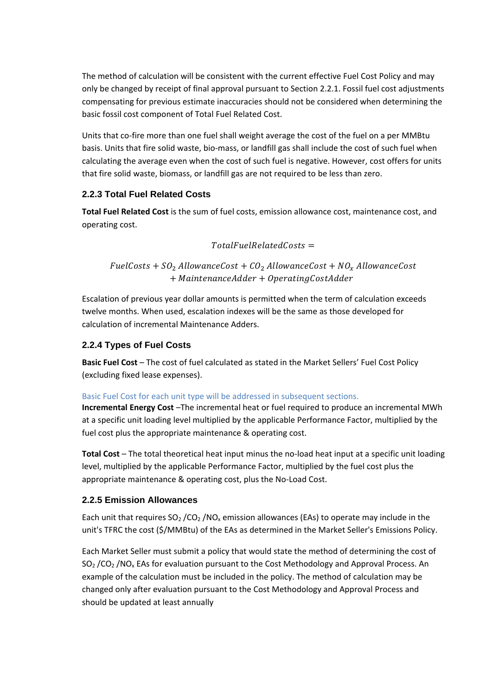The method of calculation will be consistent with the current effective Fuel Cost Policy and may only be changed by receipt of final approval pursuant to Section 2.2.1. Fossil fuel cost adjustments compensating for previous estimate inaccuracies should not be considered when determining the basic fossil cost component of Total Fuel Related Cost.

Units that co-fire more than one fuel shall weight average the cost of the fuel on a per MMBtu basis. Units that fire solid waste, bio-mass, or landfill gas shall include the cost of such fuel when calculating the average even when the cost of such fuel is negative. However, cost offers for units that fire solid waste, biomass, or landfill gas are not required to be less than zero.

## **2.2.3 Total Fuel Related Costs**

**Total Fuel Related Cost** is the sum of fuel costs, emission allowance cost, maintenance cost, and operating cost.

#### $TotalFuelRelated Costs =$

FuelCosts +  $SO_2$  AllowanceCost +  $CO_2$  AllowanceCost +  $NO_x$  AllowanceCost  $+$  Maintenance Adder  $+$  Operating Cost Adder

Escalation of previous year dollar amounts is permitted when the term of calculation exceeds twelve months. When used, escalation indexes will be the same as those developed for calculation of incremental Maintenance Adders.

### **2.2.4 Types of Fuel Costs**

**Basic Fuel Cost** – The cost of fuel calculated as stated in the Market Sellers' Fuel Cost Policy (excluding fixed lease expenses).

#### Basic Fuel Cost for each unit type will be addressed in subsequent sections.

**Incremental Energy Cost** –The incremental heat or fuel required to produce an incremental MWh at a specific unit loading level multiplied by the applicable Performance Factor, multiplied by the fuel cost plus the appropriate maintenance & operating cost.

**Total Cost** – The total theoretical heat input minus the no-load heat input at a specific unit loading level, multiplied by the applicable Performance Factor, multiplied by the fuel cost plus the appropriate maintenance & operating cost, plus the No-Load Cost.

#### **2.2.5 Emission Allowances**

Each unit that requires  $SO_2/CO_2/NO_x$  emission allowances (EAs) to operate may include in the unit's TFRC the cost (\$/MMBtu) of the EAs as determined in the Market Seller's Emissions Policy.

Each Market Seller must submit a policy that would state the method of determining the cost of SO<sub>2</sub> /CO<sub>2</sub> /NO<sub>x</sub> EAs for evaluation pursuant to the Cost Methodology and Approval Process. An example of the calculation must be included in the policy. The method of calculation may be changed only after evaluation pursuant to the Cost Methodology and Approval Process and should be updated at least annually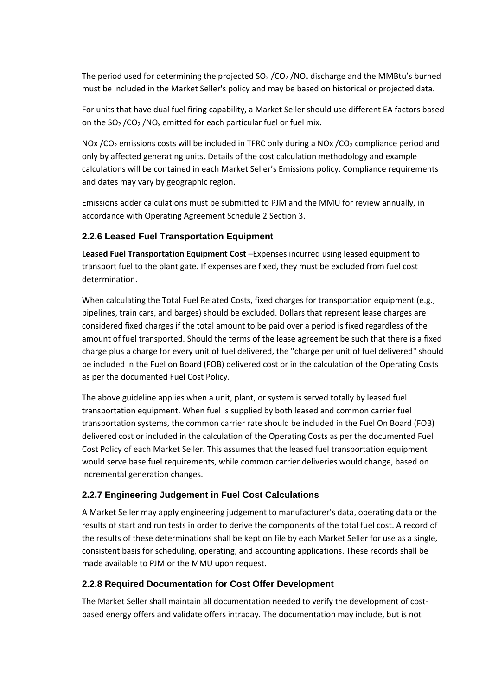The period used for determining the projected  $SO<sub>2</sub> / CO<sub>2</sub> / NO<sub>x</sub>$  discharge and the MMBtu's burned must be included in the Market Seller's policy and may be based on historical or projected data.

For units that have dual fuel firing capability, a Market Seller should use different EA factors based on the  $SO_2$  /CO<sub>2</sub> /NO<sub>x</sub> emitted for each particular fuel or fuel mix.

NOx /CO<sub>2</sub> emissions costs will be included in TFRC only during a NOx /CO<sub>2</sub> compliance period and only by affected generating units. Details of the cost calculation methodology and example calculations will be contained in each Market Seller's Emissions policy. Compliance requirements and dates may vary by geographic region.

Emissions adder calculations must be submitted to PJM and the MMU for review annually, in accordance with Operating Agreement Schedule 2 Section 3.

## **2.2.6 Leased Fuel Transportation Equipment**

**Leased Fuel Transportation Equipment Cost** –Expenses incurred using leased equipment to transport fuel to the plant gate. If expenses are fixed, they must be excluded from fuel cost determination.

When calculating the Total Fuel Related Costs, fixed charges for transportation equipment (e.g., pipelines, train cars, and barges) should be excluded. Dollars that represent lease charges are considered fixed charges if the total amount to be paid over a period is fixed regardless of the amount of fuel transported. Should the terms of the lease agreement be such that there is a fixed charge plus a charge for every unit of fuel delivered, the "charge per unit of fuel delivered" should be included in the Fuel on Board (FOB) delivered cost or in the calculation of the Operating Costs as per the documented Fuel Cost Policy.

The above guideline applies when a unit, plant, or system is served totally by leased fuel transportation equipment. When fuel is supplied by both leased and common carrier fuel transportation systems, the common carrier rate should be included in the Fuel On Board (FOB) delivered cost or included in the calculation of the Operating Costs as per the documented Fuel Cost Policy of each Market Seller. This assumes that the leased fuel transportation equipment would serve base fuel requirements, while common carrier deliveries would change, based on incremental generation changes.

## **2.2.7 Engineering Judgement in Fuel Cost Calculations**

A Market Seller may apply engineering judgement to manufacturer's data, operating data or the results of start and run tests in order to derive the components of the total fuel cost. A record of the results of these determinations shall be kept on file by each Market Seller for use as a single, consistent basis for scheduling, operating, and accounting applications. These records shall be made available to PJM or the MMU upon request.

## **2.2.8 Required Documentation for Cost Offer Development**

The Market Seller shall maintain all documentation needed to verify the development of costbased energy offers and validate offers intraday. The documentation may include, but is not